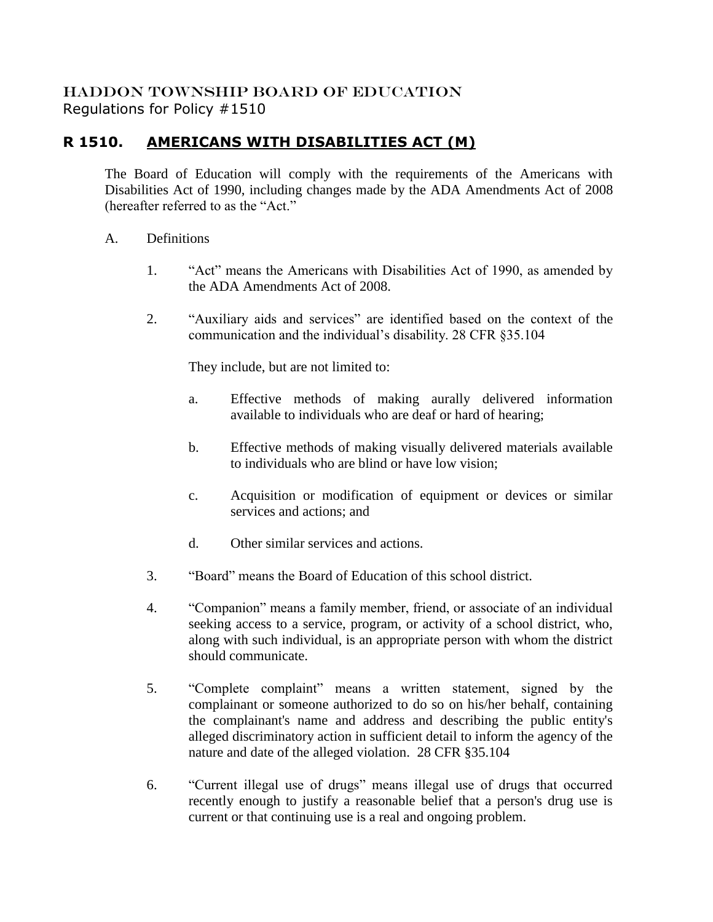## HADDON TOWNSHIP BOARD OF EDUCATION Regulations for Policy #1510

# **R 1510. AMERICANS WITH DISABILITIES ACT (M)**

The Board of Education will comply with the requirements of the Americans with Disabilities Act of 1990, including changes made by the ADA Amendments Act of 2008 (hereafter referred to as the "Act."

- A. Definitions
	- 1. "Act" means the Americans with Disabilities Act of 1990, as amended by the ADA Amendments Act of 2008.
	- 2. "Auxiliary aids and services" are identified based on the context of the communication and the individual's disability. 28 CFR §35.104

They include, but are not limited to:

- a. Effective methods of making aurally delivered information available to individuals who are deaf or hard of hearing;
- b. Effective methods of making visually delivered materials available to individuals who are blind or have low vision;
- c. Acquisition or modification of equipment or devices or similar services and actions; and
- d. Other similar services and actions.
- 3. "Board" means the Board of Education of this school district.
- 4. "Companion" means a family member, friend, or associate of an individual seeking access to a service, program, or activity of a school district, who, along with such individual, is an appropriate person with whom the district should communicate.
- 5. "Complete complaint" means a written statement, signed by the complainant or someone authorized to do so on his/her behalf, containing the complainant's name and address and describing the public entity's alleged discriminatory action in sufficient detail to inform the agency of the nature and date of the alleged violation. 28 CFR §35.104
- 6. "Current illegal use of drugs" means illegal use of drugs that occurred recently enough to justify a reasonable belief that a person's drug use is current or that continuing use is a real and ongoing problem.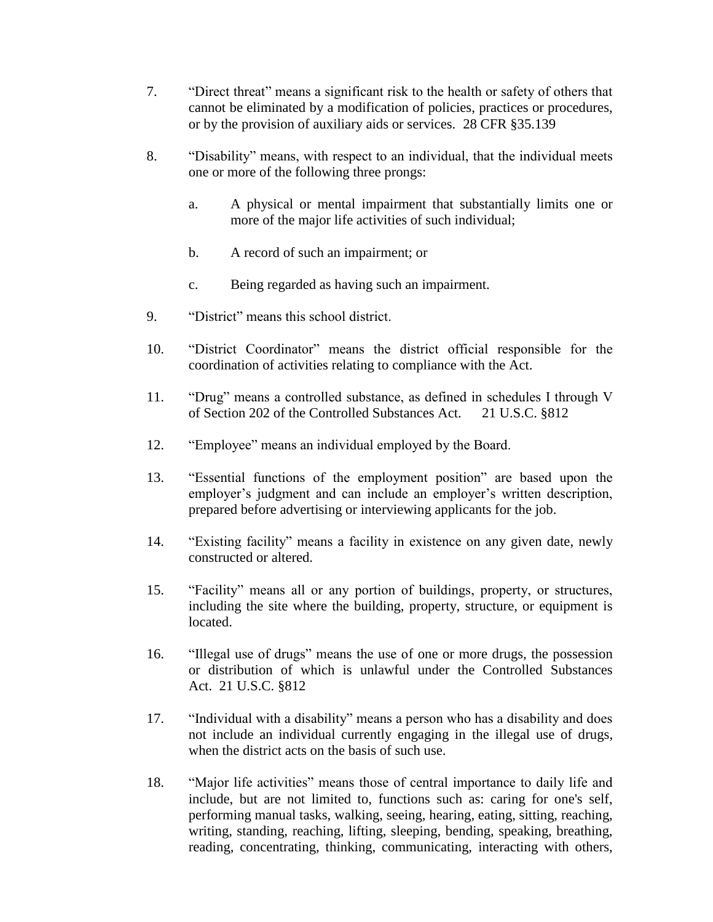- 7. "Direct threat" means a significant risk to the health or safety of others that cannot be eliminated by a modification of policies, practices or procedures, or by the provision of auxiliary aids or services. 28 CFR §35.139
- 8. "Disability" means, with respect to an individual, that the individual meets one or more of the following three prongs:
	- a. A physical or mental impairment that substantially limits one or more of the major life activities of such individual;
	- b. A record of such an impairment; or
	- c. Being regarded as having such an impairment.
- 9. "District" means this school district.
- 10. "District Coordinator" means the district official responsible for the coordination of activities relating to compliance with the Act.
- 11. "Drug" means a controlled substance, as defined in schedules I through V of Section 202 of the Controlled Substances Act. 21 U.S.C. §812
- 12. "Employee" means an individual employed by the Board.
- 13. "Essential functions of the employment position" are based upon the employer's judgment and can include an employer's written description, prepared before advertising or interviewing applicants for the job.
- 14. "Existing facility" means a facility in existence on any given date, newly constructed or altered.
- 15. "Facility" means all or any portion of buildings, property, or structures, including the site where the building, property, structure, or equipment is located.
- 16. "Illegal use of drugs" means the use of one or more drugs, the possession or distribution of which is unlawful under the Controlled Substances Act. 21 U.S.C. §812
- 17. "Individual with a disability" means a person who has a disability and does not include an individual currently engaging in the illegal use of drugs, when the district acts on the basis of such use.
- 18. "Major life activities" means those of central importance to daily life and include, but are not limited to, functions such as: caring for one's self, performing manual tasks, walking, seeing, hearing, eating, sitting, reaching, writing, standing, reaching, lifting, sleeping, bending, speaking, breathing, reading, concentrating, thinking, communicating, interacting with others,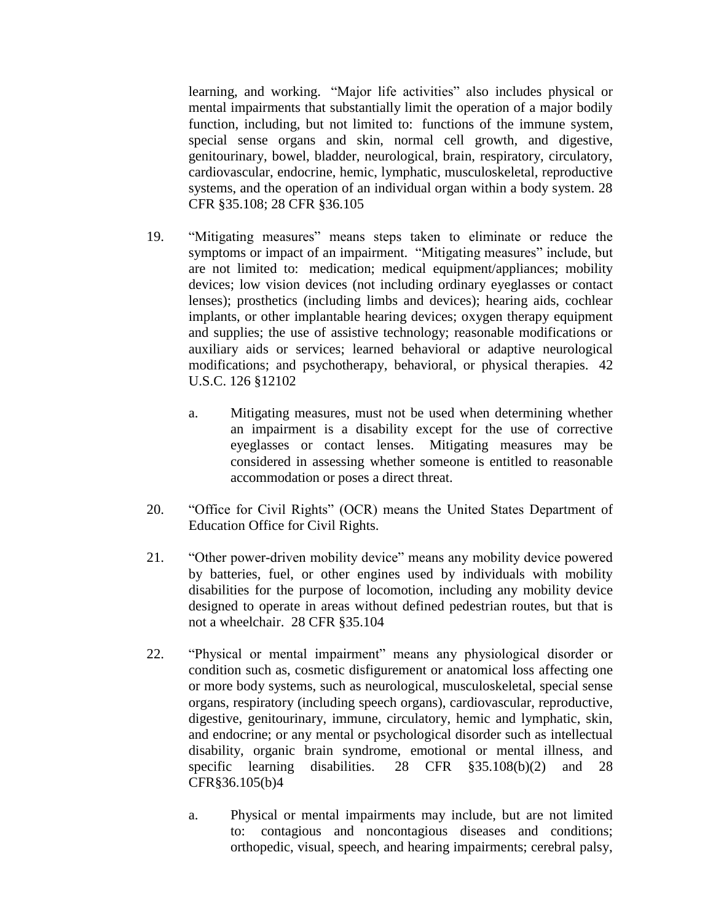learning, and working. "Major life activities" also includes physical or mental impairments that substantially limit the operation of a major bodily function, including, but not limited to: functions of the immune system, special sense organs and skin, normal cell growth, and digestive, genitourinary, bowel, bladder, neurological, brain, respiratory, circulatory, cardiovascular, endocrine, hemic, lymphatic, musculoskeletal, reproductive systems, and the operation of an individual organ within a body system. 28 CFR §35.108; 28 CFR §36.105

- 19. "Mitigating measures" means steps taken to eliminate or reduce the symptoms or impact of an impairment. "Mitigating measures" include, but are not limited to: medication; medical equipment/appliances; mobility devices; low vision devices (not including ordinary eyeglasses or contact lenses); prosthetics (including limbs and devices); hearing aids, cochlear implants, or other implantable hearing devices; oxygen therapy equipment and supplies; the use of assistive technology; reasonable modifications or auxiliary aids or services; learned behavioral or adaptive neurological modifications; and psychotherapy, behavioral, or physical therapies. 42 U.S.C. 126 §12102
	- a. Mitigating measures, must not be used when determining whether an impairment is a disability except for the use of corrective eyeglasses or contact lenses. Mitigating measures may be considered in assessing whether someone is entitled to reasonable accommodation or poses a direct threat.
- 20. "Office for Civil Rights" (OCR) means the United States Department of Education Office for Civil Rights.
- 21. "Other power-driven mobility device" means any mobility device powered by batteries, fuel, or other engines used by individuals with mobility disabilities for the purpose of locomotion, including any mobility device designed to operate in areas without defined pedestrian routes, but that is not a wheelchair. 28 CFR §35.104
- 22. "Physical or mental impairment" means any physiological disorder or condition such as, cosmetic disfigurement or anatomical loss affecting one or more body systems, such as neurological, musculoskeletal, special sense organs, respiratory (including speech organs), cardiovascular, reproductive, digestive, genitourinary, immune, circulatory, hemic and lymphatic, skin, and endocrine; or any mental or psychological disorder such as intellectual disability, organic brain syndrome, emotional or mental illness, and specific learning disabilities. 28 CFR §35.108(b)(2) and 28 CFR§36.105(b)4
	- a. Physical or mental impairments may include, but are not limited to: contagious and noncontagious diseases and conditions; orthopedic, visual, speech, and hearing impairments; cerebral palsy,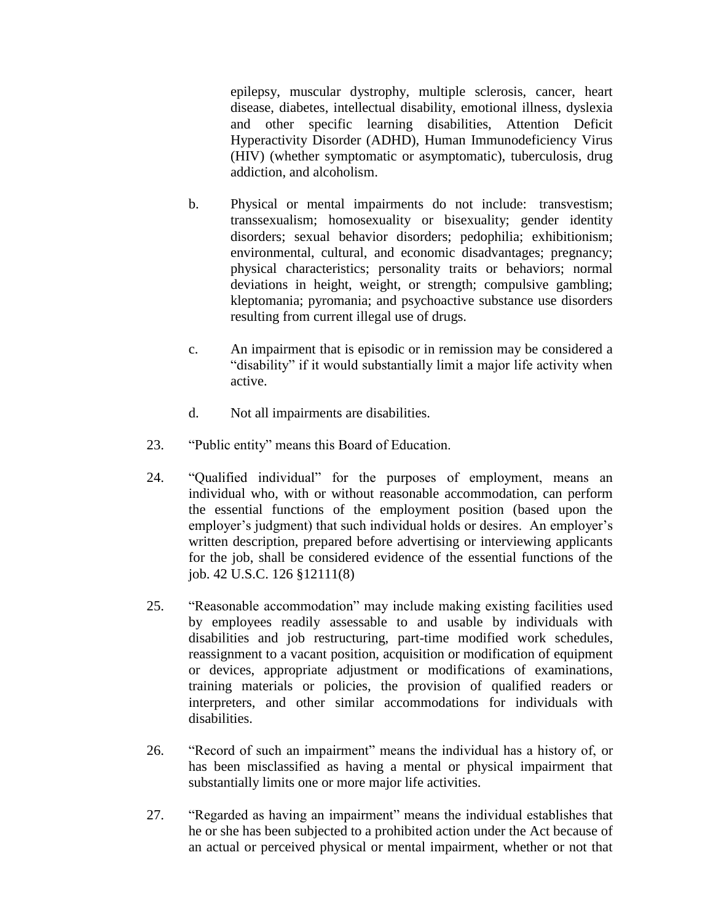epilepsy, muscular dystrophy, multiple sclerosis, cancer, heart disease, diabetes, intellectual disability, emotional illness, dyslexia and other specific learning disabilities, Attention Deficit Hyperactivity Disorder (ADHD), Human Immunodeficiency Virus (HIV) (whether symptomatic or asymptomatic), tuberculosis, drug addiction, and alcoholism.

- b. Physical or mental impairments do not include: transvestism; transsexualism; homosexuality or bisexuality; gender identity disorders; sexual behavior disorders; pedophilia; exhibitionism; environmental, cultural, and economic disadvantages; pregnancy; physical characteristics; personality traits or behaviors; normal deviations in height, weight, or strength; compulsive gambling; kleptomania; pyromania; and psychoactive substance use disorders resulting from current illegal use of drugs.
- c. An impairment that is episodic or in remission may be considered a "disability" if it would substantially limit a major life activity when active.
- d. Not all impairments are disabilities.
- 23. "Public entity" means this Board of Education.
- 24. "Qualified individual" for the purposes of employment, means an individual who, with or without reasonable accommodation, can perform the essential functions of the employment position (based upon the employer's judgment) that such individual holds or desires. An employer's written description, prepared before advertising or interviewing applicants for the job, shall be considered evidence of the essential functions of the job. 42 U.S.C. 126 §12111(8)
- 25. "Reasonable accommodation" may include making existing facilities used by employees readily assessable to and usable by individuals with disabilities and job restructuring, part-time modified work schedules, reassignment to a vacant position, acquisition or modification of equipment or devices, appropriate adjustment or modifications of examinations, training materials or policies, the provision of qualified readers or interpreters, and other similar accommodations for individuals with disabilities.
- 26. "Record of such an impairment" means the individual has a history of, or has been misclassified as having a mental or physical impairment that substantially limits one or more major life activities.
- 27. "Regarded as having an impairment" means the individual establishes that he or she has been subjected to a prohibited action under the Act because of an actual or perceived physical or mental impairment, whether or not that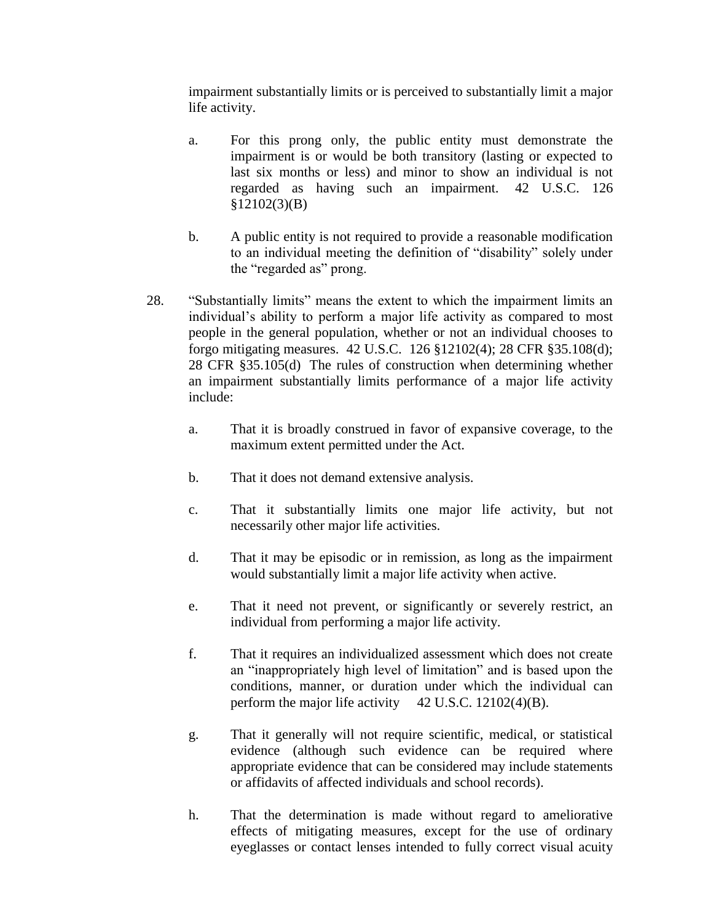impairment substantially limits or is perceived to substantially limit a major life activity.

- a. For this prong only, the public entity must demonstrate the impairment is or would be both transitory (lasting or expected to last six months or less) and minor to show an individual is not regarded as having such an impairment. 42 U.S.C. 126 §12102(3)(B)
- b. A public entity is not required to provide a reasonable modification to an individual meeting the definition of "disability" solely under the "regarded as" prong.
- 28. "Substantially limits" means the extent to which the impairment limits an individual's ability to perform a major life activity as compared to most people in the general population, whether or not an individual chooses to forgo mitigating measures. 42 U.S.C. 126 §12102(4); 28 CFR §35.108(d); 28 CFR §35.105(d) The rules of construction when determining whether an impairment substantially limits performance of a major life activity include:
	- a. That it is broadly construed in favor of expansive coverage, to the maximum extent permitted under the Act.
	- b. That it does not demand extensive analysis.
	- c. That it substantially limits one major life activity, but not necessarily other major life activities.
	- d. That it may be episodic or in remission, as long as the impairment would substantially limit a major life activity when active.
	- e. That it need not prevent, or significantly or severely restrict, an individual from performing a major life activity.
	- f. That it requires an individualized assessment which does not create an "inappropriately high level of limitation" and is based upon the conditions, manner, or duration under which the individual can perform the major life activity  $42$  U.S.C. 12102(4)(B).
	- g. That it generally will not require scientific, medical, or statistical evidence (although such evidence can be required where appropriate evidence that can be considered may include statements or affidavits of affected individuals and school records).
	- h. That the determination is made without regard to ameliorative effects of mitigating measures, except for the use of ordinary eyeglasses or contact lenses intended to fully correct visual acuity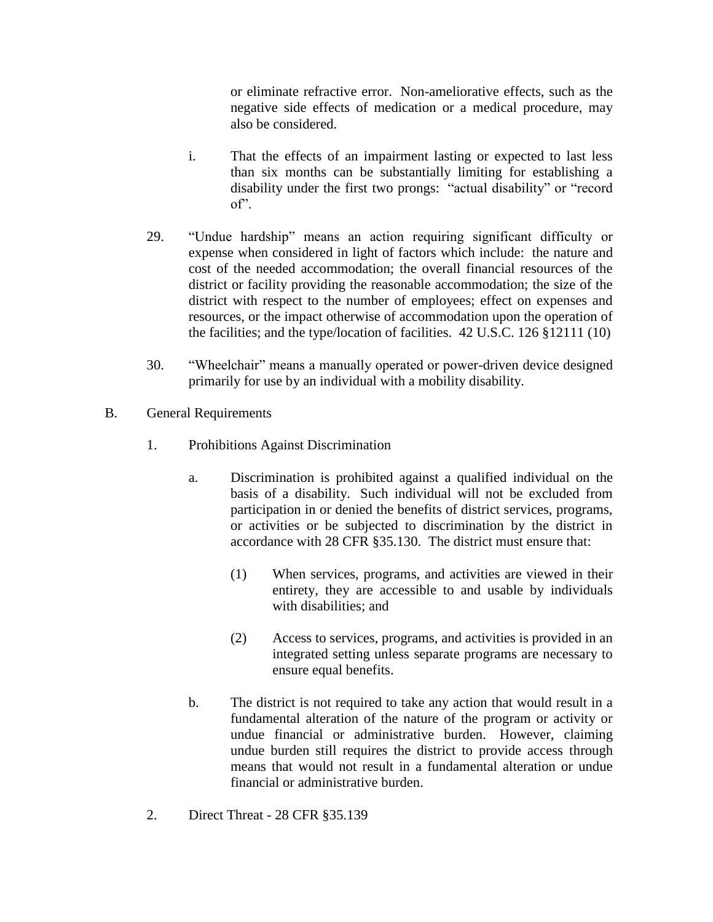or eliminate refractive error. Non-ameliorative effects, such as the negative side effects of medication or a medical procedure, may also be considered.

- i. That the effects of an impairment lasting or expected to last less than six months can be substantially limiting for establishing a disability under the first two prongs: "actual disability" or "record of".
- 29. "Undue hardship" means an action requiring significant difficulty or expense when considered in light of factors which include: the nature and cost of the needed accommodation; the overall financial resources of the district or facility providing the reasonable accommodation; the size of the district with respect to the number of employees; effect on expenses and resources, or the impact otherwise of accommodation upon the operation of the facilities; and the type/location of facilities. 42 U.S.C. 126 §12111 (10)
- 30. "Wheelchair" means a manually operated or power-driven device designed primarily for use by an individual with a mobility disability.
- B. General Requirements
	- 1. Prohibitions Against Discrimination
		- a. Discrimination is prohibited against a qualified individual on the basis of a disability. Such individual will not be excluded from participation in or denied the benefits of district services, programs, or activities or be subjected to discrimination by the district in accordance with 28 CFR §35.130. The district must ensure that:
			- (1) When services, programs, and activities are viewed in their entirety, they are accessible to and usable by individuals with disabilities; and
			- (2) Access to services, programs, and activities is provided in an integrated setting unless separate programs are necessary to ensure equal benefits.
		- b. The district is not required to take any action that would result in a fundamental alteration of the nature of the program or activity or undue financial or administrative burden. However, claiming undue burden still requires the district to provide access through means that would not result in a fundamental alteration or undue financial or administrative burden.
	- 2. Direct Threat 28 CFR §35.139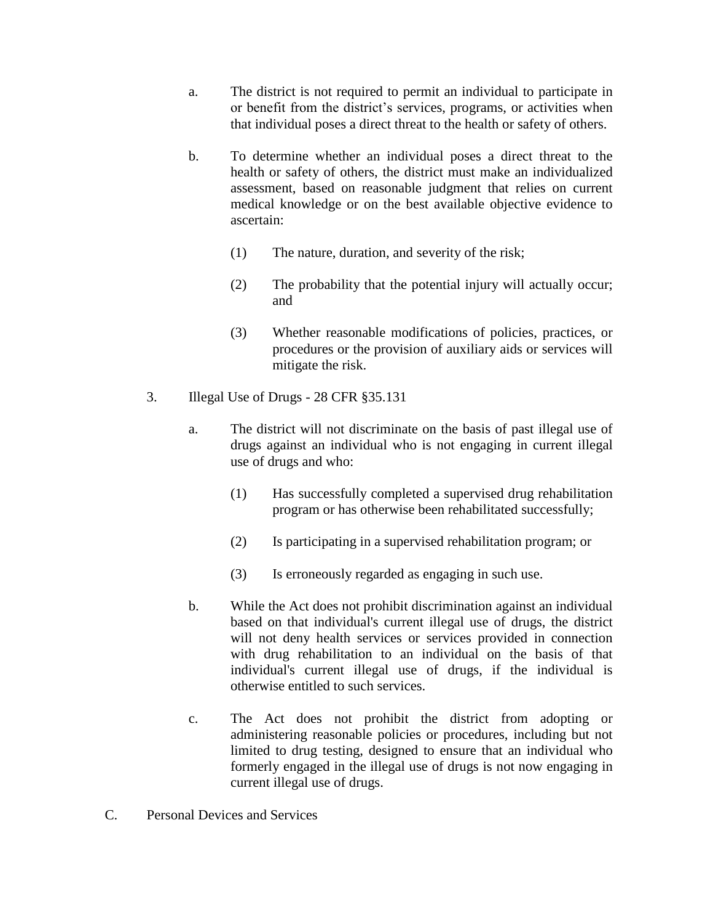- a. The district is not required to permit an individual to participate in or benefit from the district's services, programs, or activities when that individual poses a direct threat to the health or safety of others.
- b. To determine whether an individual poses a direct threat to the health or safety of others, the district must make an individualized assessment, based on reasonable judgment that relies on current medical knowledge or on the best available objective evidence to ascertain:
	- (1) The nature, duration, and severity of the risk;
	- (2) The probability that the potential injury will actually occur; and
	- (3) Whether reasonable modifications of policies, practices, or procedures or the provision of auxiliary aids or services will mitigate the risk.
- 3. Illegal Use of Drugs 28 CFR §35.131
	- a. The district will not discriminate on the basis of past illegal use of drugs against an individual who is not engaging in current illegal use of drugs and who:
		- (1) Has successfully completed a supervised drug rehabilitation program or has otherwise been rehabilitated successfully;
		- (2) Is participating in a supervised rehabilitation program; or
		- (3) Is erroneously regarded as engaging in such use.
	- b. While the Act does not prohibit discrimination against an individual based on that individual's current illegal use of drugs, the district will not deny health services or services provided in connection with drug rehabilitation to an individual on the basis of that individual's current illegal use of drugs, if the individual is otherwise entitled to such services.
	- c. The Act does not prohibit the district from adopting or administering reasonable policies or procedures, including but not limited to drug testing, designed to ensure that an individual who formerly engaged in the illegal use of drugs is not now engaging in current illegal use of drugs.
- C. Personal Devices and Services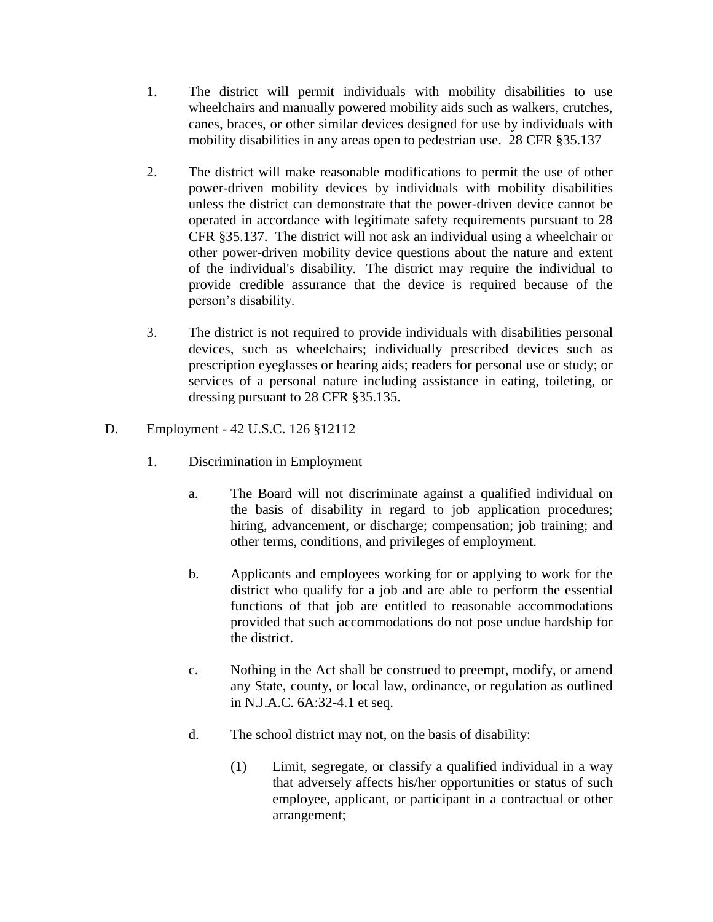- 1. The district will permit individuals with mobility disabilities to use wheelchairs and manually powered mobility aids such as walkers, crutches, canes, braces, or other similar devices designed for use by individuals with mobility disabilities in any areas open to pedestrian use. 28 CFR §35.137
- 2. The district will make reasonable modifications to permit the use of other power-driven mobility devices by individuals with mobility disabilities unless the district can demonstrate that the power-driven device cannot be operated in accordance with legitimate safety requirements pursuant to 28 CFR §35.137. The district will not ask an individual using a wheelchair or other power-driven mobility device questions about the nature and extent of the individual's disability. The district may require the individual to provide credible assurance that the device is required because of the person's disability.
- 3. The district is not required to provide individuals with disabilities personal devices, such as wheelchairs; individually prescribed devices such as prescription eyeglasses or hearing aids; readers for personal use or study; or services of a personal nature including assistance in eating, toileting, or dressing pursuant to 28 CFR §35.135.
- D. Employment 42 U.S.C. 126 §12112
	- 1. Discrimination in Employment
		- a. The Board will not discriminate against a qualified individual on the basis of disability in regard to job application procedures; hiring, advancement, or discharge; compensation; job training; and other terms, conditions, and privileges of employment.
		- b. Applicants and employees working for or applying to work for the district who qualify for a job and are able to perform the essential functions of that job are entitled to reasonable accommodations provided that such accommodations do not pose undue hardship for the district.
		- c. Nothing in the Act shall be construed to preempt, modify, or amend any State, county, or local law, ordinance, or regulation as outlined in N.J.A.C. 6A:32-4.1 et seq.
		- d. The school district may not, on the basis of disability:
			- (1) Limit, segregate, or classify a qualified individual in a way that adversely affects his/her opportunities or status of such employee, applicant, or participant in a contractual or other arrangement;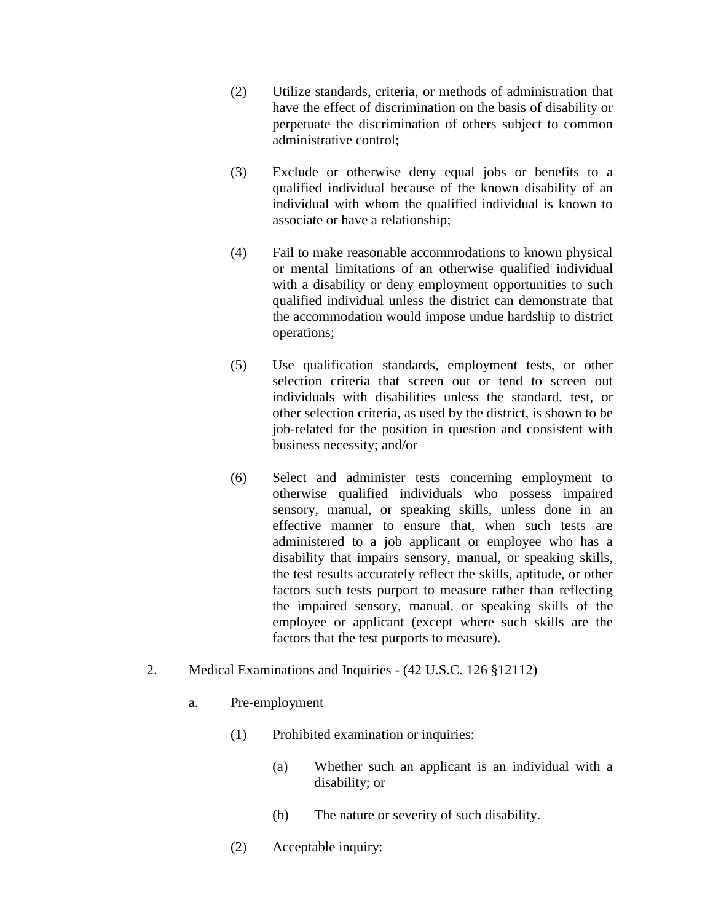- (2) Utilize standards, criteria, or methods of administration that have the effect of discrimination on the basis of disability or perpetuate the discrimination of others subject to common administrative control;
- (3) Exclude or otherwise deny equal jobs or benefits to a qualified individual because of the known disability of an individual with whom the qualified individual is known to associate or have a relationship;
- (4) Fail to make reasonable accommodations to known physical or mental limitations of an otherwise qualified individual with a disability or deny employment opportunities to such qualified individual unless the district can demonstrate that the accommodation would impose undue hardship to district operations;
- (5) Use qualification standards, employment tests, or other selection criteria that screen out or tend to screen out individuals with disabilities unless the standard, test, or other selection criteria, as used by the district, is shown to be job-related for the position in question and consistent with business necessity; and/or
- (6) Select and administer tests concerning employment to otherwise qualified individuals who possess impaired sensory, manual, or speaking skills, unless done in an effective manner to ensure that, when such tests are administered to a job applicant or employee who has a disability that impairs sensory, manual, or speaking skills, the test results accurately reflect the skills, aptitude, or other factors such tests purport to measure rather than reflecting the impaired sensory, manual, or speaking skills of the employee or applicant (except where such skills are the factors that the test purports to measure).
- 2. Medical Examinations and Inquiries (42 U.S.C. 126 §12112)
	- a. Pre-employment
		- (1) Prohibited examination or inquiries:
			- (a) Whether such an applicant is an individual with a disability; or
			- (b) The nature or severity of such disability.
		- (2) Acceptable inquiry: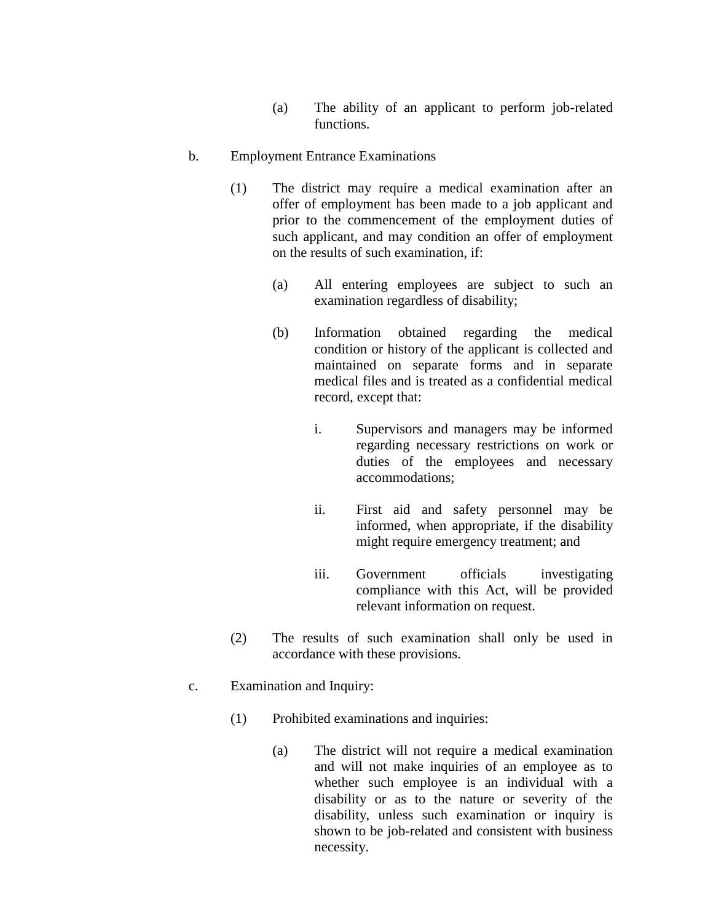(a) The ability of an applicant to perform job-related functions.

### b. Employment Entrance Examinations

- (1) The district may require a medical examination after an offer of employment has been made to a job applicant and prior to the commencement of the employment duties of such applicant, and may condition an offer of employment on the results of such examination, if:
	- (a) All entering employees are subject to such an examination regardless of disability;
	- (b) Information obtained regarding the medical condition or history of the applicant is collected and maintained on separate forms and in separate medical files and is treated as a confidential medical record, except that:
		- i. Supervisors and managers may be informed regarding necessary restrictions on work or duties of the employees and necessary accommodations;
		- ii. First aid and safety personnel may be informed, when appropriate, if the disability might require emergency treatment; and
		- iii. Government officials investigating compliance with this Act, will be provided relevant information on request.
- (2) The results of such examination shall only be used in accordance with these provisions.
- c. Examination and Inquiry:
	- (1) Prohibited examinations and inquiries:
		- (a) The district will not require a medical examination and will not make inquiries of an employee as to whether such employee is an individual with a disability or as to the nature or severity of the disability, unless such examination or inquiry is shown to be job-related and consistent with business necessity.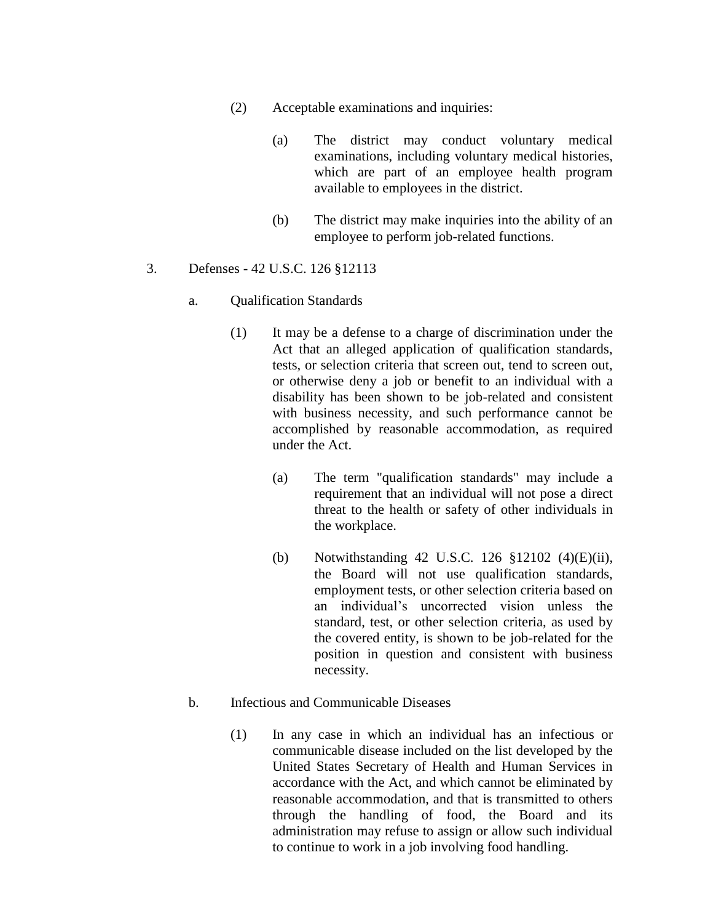- (2) Acceptable examinations and inquiries:
	- (a) The district may conduct voluntary medical examinations, including voluntary medical histories, which are part of an employee health program available to employees in the district.
	- (b) The district may make inquiries into the ability of an employee to perform job-related functions.

### 3. Defenses - 42 U.S.C. 126 §12113

#### a. Qualification Standards

- (1) It may be a defense to a charge of discrimination under the Act that an alleged application of qualification standards, tests, or selection criteria that screen out, tend to screen out, or otherwise deny a job or benefit to an individual with a disability has been shown to be job-related and consistent with business necessity, and such performance cannot be accomplished by reasonable accommodation, as required under the Act.
	- (a) The term "qualification standards" may include a requirement that an individual will not pose a direct threat to the health or safety of other individuals in the workplace.
	- (b) Notwithstanding 42 U.S.C. 126 §12102 (4)(E)(ii), the Board will not use qualification standards, employment tests, or other selection criteria based on an individual's uncorrected vision unless the standard, test, or other selection criteria, as used by the covered entity, is shown to be job-related for the position in question and consistent with business necessity.

#### b. Infectious and Communicable Diseases

(1) In any case in which an individual has an infectious or communicable disease included on the list developed by the United States Secretary of Health and Human Services in accordance with the Act, and which cannot be eliminated by reasonable accommodation, and that is transmitted to others through the handling of food, the Board and its administration may refuse to assign or allow such individual to continue to work in a job involving food handling.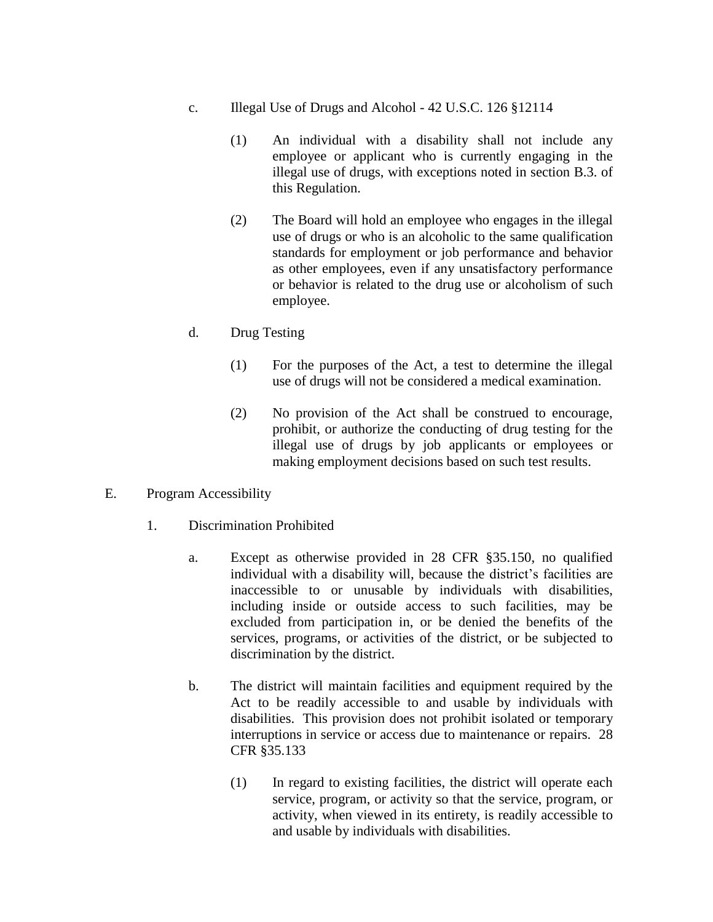- c. Illegal Use of Drugs and Alcohol 42 U.S.C. 126 §12114
	- (1) An individual with a disability shall not include any employee or applicant who is currently engaging in the illegal use of drugs, with exceptions noted in section B.3. of this Regulation.
	- (2) The Board will hold an employee who engages in the illegal use of drugs or who is an alcoholic to the same qualification standards for employment or job performance and behavior as other employees, even if any unsatisfactory performance or behavior is related to the drug use or alcoholism of such employee.
- d. Drug Testing
	- (1) For the purposes of the Act, a test to determine the illegal use of drugs will not be considered a medical examination.
	- (2) No provision of the Act shall be construed to encourage, prohibit, or authorize the conducting of drug testing for the illegal use of drugs by job applicants or employees or making employment decisions based on such test results.
- E. Program Accessibility
	- 1. Discrimination Prohibited
		- a. Except as otherwise provided in 28 CFR §35.150, no qualified individual with a disability will, because the district's facilities are inaccessible to or unusable by individuals with disabilities, including inside or outside access to such facilities, may be excluded from participation in, or be denied the benefits of the services, programs, or activities of the district, or be subjected to discrimination by the district.
		- b. The district will maintain facilities and equipment required by the Act to be readily accessible to and usable by individuals with disabilities. This provision does not prohibit isolated or temporary interruptions in service or access due to maintenance or repairs. 28 CFR §35.133
			- (1) In regard to existing facilities, the district will operate each service, program, or activity so that the service, program, or activity, when viewed in its entirety, is readily accessible to and usable by individuals with disabilities.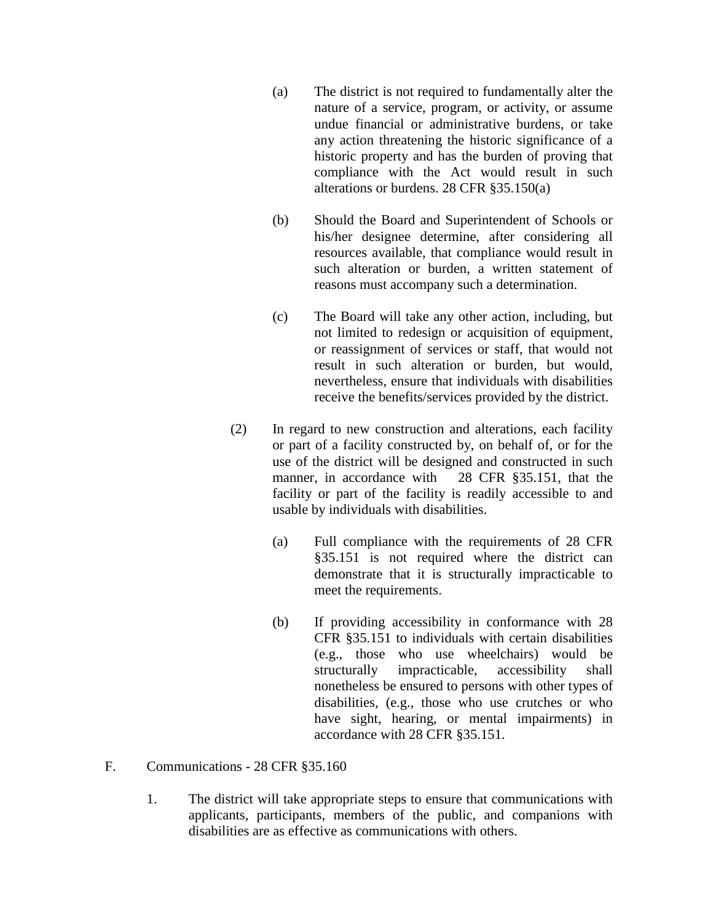- (a) The district is not required to fundamentally alter the nature of a service, program, or activity, or assume undue financial or administrative burdens, or take any action threatening the historic significance of a historic property and has the burden of proving that compliance with the Act would result in such alterations or burdens. 28 CFR §35.150(a)
- (b) Should the Board and Superintendent of Schools or his/her designee determine, after considering all resources available, that compliance would result in such alteration or burden, a written statement of reasons must accompany such a determination.
- (c) The Board will take any other action, including, but not limited to redesign or acquisition of equipment, or reassignment of services or staff, that would not result in such alteration or burden, but would, nevertheless, ensure that individuals with disabilities receive the benefits/services provided by the district.
- (2) In regard to new construction and alterations, each facility or part of a facility constructed by, on behalf of, or for the use of the district will be designed and constructed in such manner, in accordance with 28 CFR §35.151, that the facility or part of the facility is readily accessible to and usable by individuals with disabilities.
	- (a) Full compliance with the requirements of 28 CFR §35.151 is not required where the district can demonstrate that it is structurally impracticable to meet the requirements.
	- (b) If providing accessibility in conformance with 28 CFR §35.151 to individuals with certain disabilities (e.g., those who use wheelchairs) would be structurally impracticable, accessibility shall nonetheless be ensured to persons with other types of disabilities, (e.g., those who use crutches or who have sight, hearing, or mental impairments) in accordance with 28 CFR §35.151.
- F. Communications 28 CFR §35.160
	- 1. The district will take appropriate steps to ensure that communications with applicants, participants, members of the public, and companions with disabilities are as effective as communications with others.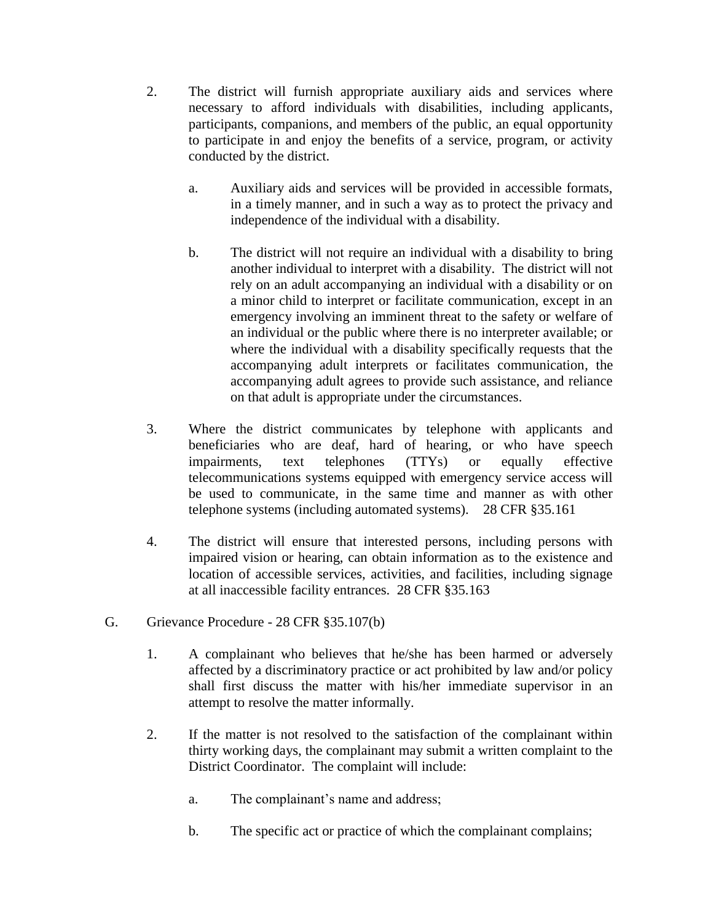- 2. The district will furnish appropriate auxiliary aids and services where necessary to afford individuals with disabilities, including applicants, participants, companions, and members of the public, an equal opportunity to participate in and enjoy the benefits of a service, program, or activity conducted by the district.
	- a. Auxiliary aids and services will be provided in accessible formats, in a timely manner, and in such a way as to protect the privacy and independence of the individual with a disability.
	- b. The district will not require an individual with a disability to bring another individual to interpret with a disability. The district will not rely on an adult accompanying an individual with a disability or on a minor child to interpret or facilitate communication, except in an emergency involving an imminent threat to the safety or welfare of an individual or the public where there is no interpreter available; or where the individual with a disability specifically requests that the accompanying adult interprets or facilitates communication, the accompanying adult agrees to provide such assistance, and reliance on that adult is appropriate under the circumstances.
- 3. Where the district communicates by telephone with applicants and beneficiaries who are deaf, hard of hearing, or who have speech impairments, text telephones (TTYs) or equally effective telecommunications systems equipped with emergency service access will be used to communicate, in the same time and manner as with other telephone systems (including automated systems). 28 CFR §35.161
- 4. The district will ensure that interested persons, including persons with impaired vision or hearing, can obtain information as to the existence and location of accessible services, activities, and facilities, including signage at all inaccessible facility entrances. 28 CFR §35.163
- G. Grievance Procedure 28 CFR §35.107(b)
	- 1. A complainant who believes that he/she has been harmed or adversely affected by a discriminatory practice or act prohibited by law and/or policy shall first discuss the matter with his/her immediate supervisor in an attempt to resolve the matter informally.
	- 2. If the matter is not resolved to the satisfaction of the complainant within thirty working days, the complainant may submit a written complaint to the District Coordinator. The complaint will include:
		- a. The complainant's name and address;
		- b. The specific act or practice of which the complainant complains;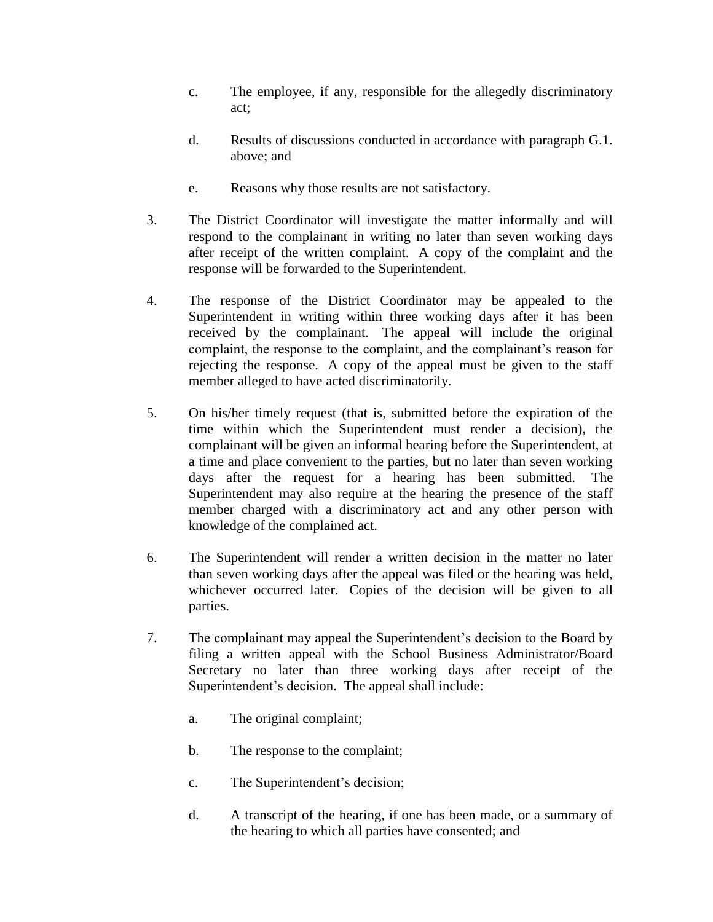- c. The employee, if any, responsible for the allegedly discriminatory act;
- d. Results of discussions conducted in accordance with paragraph G.1. above; and
- e. Reasons why those results are not satisfactory.
- 3. The District Coordinator will investigate the matter informally and will respond to the complainant in writing no later than seven working days after receipt of the written complaint. A copy of the complaint and the response will be forwarded to the Superintendent.
- 4. The response of the District Coordinator may be appealed to the Superintendent in writing within three working days after it has been received by the complainant. The appeal will include the original complaint, the response to the complaint, and the complainant's reason for rejecting the response. A copy of the appeal must be given to the staff member alleged to have acted discriminatorily.
- 5. On his/her timely request (that is, submitted before the expiration of the time within which the Superintendent must render a decision), the complainant will be given an informal hearing before the Superintendent, at a time and place convenient to the parties, but no later than seven working days after the request for a hearing has been submitted. The Superintendent may also require at the hearing the presence of the staff member charged with a discriminatory act and any other person with knowledge of the complained act.
- 6. The Superintendent will render a written decision in the matter no later than seven working days after the appeal was filed or the hearing was held, whichever occurred later. Copies of the decision will be given to all parties.
- 7. The complainant may appeal the Superintendent's decision to the Board by filing a written appeal with the School Business Administrator/Board Secretary no later than three working days after receipt of the Superintendent's decision. The appeal shall include:
	- a. The original complaint;
	- b. The response to the complaint;
	- c. The Superintendent's decision;
	- d. A transcript of the hearing, if one has been made, or a summary of the hearing to which all parties have consented; and